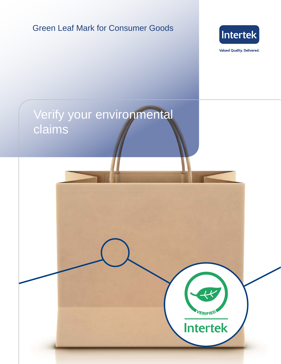# Green Leaf Mark for Consumer Goods



**Valued Quality. Delivered.** 

VERIFIED

**Intertek** 

# Verify your environmental claims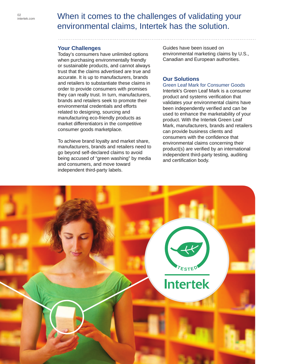## When it comes to the challenges of validating your environmental claims, Intertek has the solution.

### **Your Challenges**

Today's consumers have unlimited options when purchasing environmentally friendly or sustainable products, and cannot always trust that the claims advertised are true and accurate. It is up to manufacturers, brands and retailers to substantiate these claims in order to provide consumers with promises they can really trust. In turn, manufacturers, brands and retailers seek to promote their environmental credentials and efforts related to designing, sourcing and manufacturing eco-friendly products as market differentiators in the competitive consumer goods marketplace.

To achieve brand loyalty and market share, manufacturers, brands and retailers need to go beyond self-declared claims to avoid being accused of "green washing" by media and consumers, and move toward independent third-party labels.

Guides have been issued on environmental marketing claims by U.S., Canadian and European authorities.

### **Our Solutions**

#### Green Leaf Mark for Consumer Goods

Intertek's Green Leaf Mark is a consumer product and systems verification that validates your environmental claims have been independently verified and can be used to enhance the marketability of your product. With the Intertek Green Leaf Mark, manufacturers, brands and retailers can provide business clients and consumers with the confidence that environmental claims concerning their product(s) are verified by an international independent third-party testing, auditing and certification body.

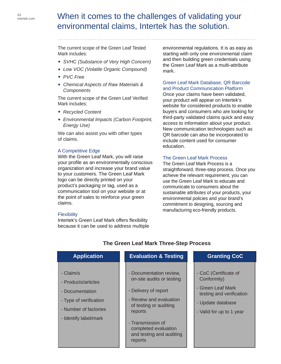# When it comes to the challenges of validating your environmental claims, Intertek has the solution.

The current scope of the Green Leaf Tested Mark includes:

- *SVHC (Substance of Very High Concern)*
- *Low VOC (Volatile Organic Compound)*
- *PVC Free*
- *Chemical Aspects of Raw Materials & Components*

The current scope of the Green Leaf Verified Mark includes:

- *Recycled Content*
- *Environmental Impacts (Carbon Footprint, Energy Use)*

We can also assist you with other types of claims.

### A Competitive Edge

With the Green Leaf Mark, you will raise your profile as an environmentally conscious organization and increase your brand value to your customers. The Green Leaf Mark logo can be directly printed on your product's packaging or tag, used as a communication tool on your website or at the point of sales to reinforce your green claims.

#### **Flexibility**

Intertek's Green Leaf Mark offers flexibility because it can be used to address multiple environmental regulations. It is as easy as starting with only one environmental claim and then building green credentials using the Green Leaf Mark as a multi-attribute mark.

#### Green Leaf Mark Database, QR Barcode and Product Communication Platform

Once your claims have been validated, your product will appear on Intertek's website for considered products to enable buyers and consumers who are looking for third-party validated claims quick and easy access to information about your product. New communication technologies such as QR barcode can also be incorporated to include content used for consumer education.

### The Green Leaf Mark Process

The Green Leaf Mark Process is a straightforward, three-step process. Once you achieve the relevant requirement, you can use the Green Leaf Mark to educate and communicate to consumers about the sustainable attributes of your products, your environmental policies and your brand's commitment to designing, sourcing and manufacturing eco-friendly products.

| <b>Application</b>                                                                                                              | <b>Evaluation &amp; Testing</b>                                                                                                                                                                                                  | <b>Granting CoC</b>                                                                                                                    |
|---------------------------------------------------------------------------------------------------------------------------------|----------------------------------------------------------------------------------------------------------------------------------------------------------------------------------------------------------------------------------|----------------------------------------------------------------------------------------------------------------------------------------|
| - Claim/s<br>- Products/articles<br>- Documentation<br>- Type of verification<br>- Number of factories<br>- Identify label/mark | - Documentation review,<br>on-site audits or testing<br>- Delivery of report<br>- Review and evaluation<br>of testing or auditing<br>reports<br>- Transmission of<br>completed evaluation<br>and testing and auditing<br>reports | - CoC (Certificate of<br>Conformity)<br>- Green Leaf Mark<br>testing and verification<br>- Update database<br>- Valid for up to 1 year |

### **The Green Leaf Mark Three-Step Process**